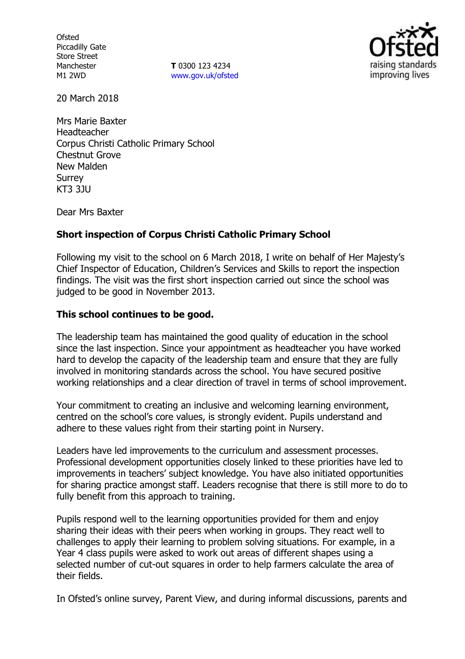**Ofsted** Piccadilly Gate Store Street Manchester M1 2WD

**T** 0300 123 4234 www.gov.uk/ofsted



20 March 2018

Mrs Marie Baxter Headteacher Corpus Christi Catholic Primary School Chestnut Grove New Malden Surrey KT3 3JU

Dear Mrs Baxter

# **Short inspection of Corpus Christi Catholic Primary School**

Following my visit to the school on 6 March 2018, I write on behalf of Her Majesty's Chief Inspector of Education, Children's Services and Skills to report the inspection findings. The visit was the first short inspection carried out since the school was judged to be good in November 2013.

## **This school continues to be good.**

The leadership team has maintained the good quality of education in the school since the last inspection. Since your appointment as headteacher you have worked hard to develop the capacity of the leadership team and ensure that they are fully involved in monitoring standards across the school. You have secured positive working relationships and a clear direction of travel in terms of school improvement.

Your commitment to creating an inclusive and welcoming learning environment, centred on the school's core values, is strongly evident. Pupils understand and adhere to these values right from their starting point in Nursery.

Leaders have led improvements to the curriculum and assessment processes. Professional development opportunities closely linked to these priorities have led to improvements in teachers' subject knowledge. You have also initiated opportunities for sharing practice amongst staff. Leaders recognise that there is still more to do to fully benefit from this approach to training.

Pupils respond well to the learning opportunities provided for them and enjoy sharing their ideas with their peers when working in groups. They react well to challenges to apply their learning to problem solving situations. For example, in a Year 4 class pupils were asked to work out areas of different shapes using a selected number of cut-out squares in order to help farmers calculate the area of their fields.

In Ofsted's online survey, Parent View, and during informal discussions, parents and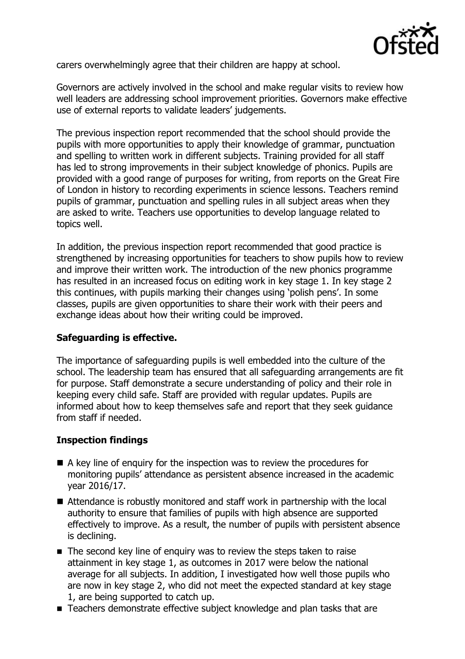

carers overwhelmingly agree that their children are happy at school.

Governors are actively involved in the school and make regular visits to review how well leaders are addressing school improvement priorities. Governors make effective use of external reports to validate leaders' judgements.

The previous inspection report recommended that the school should provide the pupils with more opportunities to apply their knowledge of grammar, punctuation and spelling to written work in different subjects. Training provided for all staff has led to strong improvements in their subject knowledge of phonics. Pupils are provided with a good range of purposes for writing, from reports on the Great Fire of London in history to recording experiments in science lessons. Teachers remind pupils of grammar, punctuation and spelling rules in all subject areas when they are asked to write. Teachers use opportunities to develop language related to topics well.

In addition, the previous inspection report recommended that good practice is strengthened by increasing opportunities for teachers to show pupils how to review and improve their written work. The introduction of the new phonics programme has resulted in an increased focus on editing work in key stage 1. In key stage 2 this continues, with pupils marking their changes using 'polish pens'. In some classes, pupils are given opportunities to share their work with their peers and exchange ideas about how their writing could be improved.

## **Safeguarding is effective.**

The importance of safeguarding pupils is well embedded into the culture of the school. The leadership team has ensured that all safeguarding arrangements are fit for purpose. Staff demonstrate a secure understanding of policy and their role in keeping every child safe. Staff are provided with regular updates. Pupils are informed about how to keep themselves safe and report that they seek guidance from staff if needed.

# **Inspection findings**

- A key line of enquiry for the inspection was to review the procedures for monitoring pupils' attendance as persistent absence increased in the academic year 2016/17.
- Attendance is robustly monitored and staff work in partnership with the local authority to ensure that families of pupils with high absence are supported effectively to improve. As a result, the number of pupils with persistent absence is declining.
- The second key line of enquiry was to review the steps taken to raise attainment in key stage 1, as outcomes in 2017 were below the national average for all subjects. In addition, I investigated how well those pupils who are now in key stage 2, who did not meet the expected standard at key stage 1, are being supported to catch up.
- Teachers demonstrate effective subject knowledge and plan tasks that are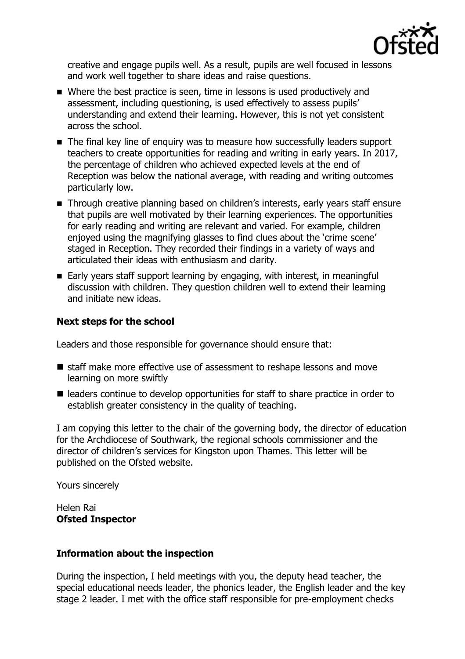

creative and engage pupils well. As a result, pupils are well focused in lessons and work well together to share ideas and raise questions.

- Where the best practice is seen, time in lessons is used productively and assessment, including questioning, is used effectively to assess pupils' understanding and extend their learning. However, this is not yet consistent across the school.
- The final key line of enquiry was to measure how successfully leaders support teachers to create opportunities for reading and writing in early years. In 2017, the percentage of children who achieved expected levels at the end of Reception was below the national average, with reading and writing outcomes particularly low.
- **Through creative planning based on children's interests, early years staff ensure** that pupils are well motivated by their learning experiences. The opportunities for early reading and writing are relevant and varied. For example, children enjoyed using the magnifying glasses to find clues about the 'crime scene' staged in Reception. They recorded their findings in a variety of ways and articulated their ideas with enthusiasm and clarity.
- Early years staff support learning by engaging, with interest, in meaningful discussion with children. They question children well to extend their learning and initiate new ideas.

# **Next steps for the school**

Leaders and those responsible for governance should ensure that:

- staff make more effective use of assessment to reshape lessons and move learning on more swiftly
- leaders continue to develop opportunities for staff to share practice in order to establish greater consistency in the quality of teaching.

I am copying this letter to the chair of the governing body, the director of education for the Archdiocese of Southwark, the regional schools commissioner and the director of children's services for Kingston upon Thames. This letter will be published on the Ofsted website.

Yours sincerely

Helen Rai **Ofsted Inspector**

## **Information about the inspection**

During the inspection, I held meetings with you, the deputy head teacher, the special educational needs leader, the phonics leader, the English leader and the key stage 2 leader. I met with the office staff responsible for pre-employment checks